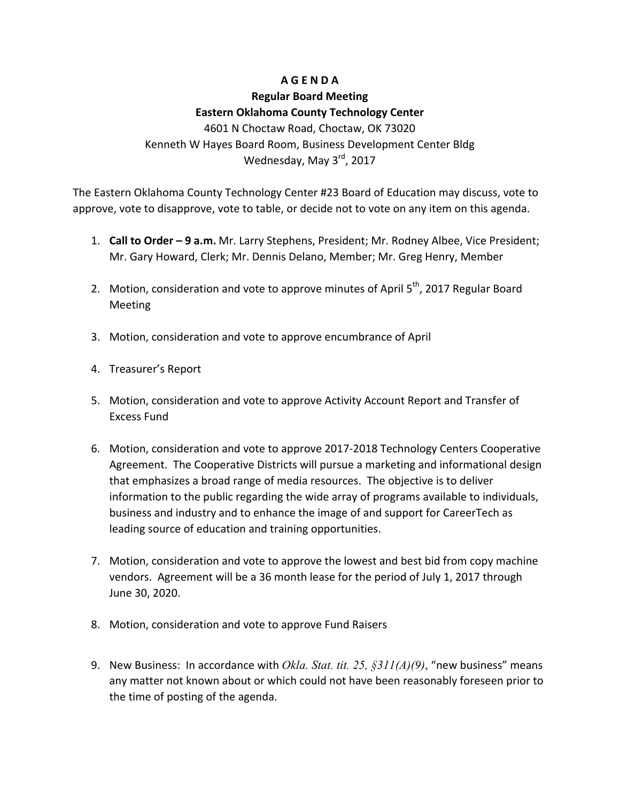## **A G E N D A**

# **Regular Board Meeting Eastern Oklahoma County Technology Center**

4601 N Choctaw Road, Choctaw, OK 73020 Kenneth W Hayes Board Room, Business Development Center Bldg Wednesday, May 3<sup>rd</sup>, 2017

The Eastern Oklahoma County Technology Center #23 Board of Education may discuss, vote to approve, vote to disapprove, vote to table, or decide not to vote on any item on this agenda.

- 1. **Call to Order 9 a.m.** Mr. Larry Stephens, President; Mr. Rodney Albee, Vice President; Mr. Gary Howard, Clerk; Mr. Dennis Delano, Member; Mr. Greg Henry, Member
- 2. Motion, consideration and vote to approve minutes of April  $5<sup>th</sup>$ , 2017 Regular Board Meeting
- 3. Motion, consideration and vote to approve encumbrance of April
- 4. Treasurer's Report
- 5. Motion, consideration and vote to approve Activity Account Report and Transfer of Excess Fund
- 6. Motion, consideration and vote to approve 2017-2018 Technology Centers Cooperative Agreement. The Cooperative Districts will pursue a marketing and informational design that emphasizes a broad range of media resources. The objective is to deliver information to the public regarding the wide array of programs available to individuals, business and industry and to enhance the image of and support for CareerTech as leading source of education and training opportunities.
- 7. Motion, consideration and vote to approve the lowest and best bid from copy machine vendors. Agreement will be a 36 month lease for the period of July 1, 2017 through June 30, 2020.
- 8. Motion, consideration and vote to approve Fund Raisers
- 9. New Business: In accordance with *Okla. Stat. tit. 25, §311(A)(9)*, "new business" means any matter not known about or which could not have been reasonably foreseen prior to the time of posting of the agenda.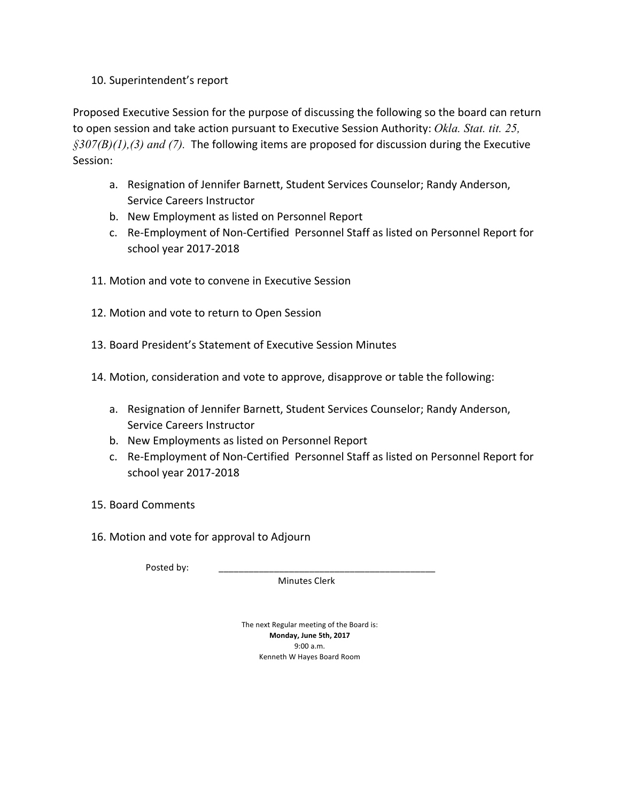## 10. Superintendent's report

Proposed Executive Session for the purpose of discussing the following so the board can return to open session and take action pursuant to Executive Session Authority: Okla. Stat. tit. 25,  $\frac{\sqrt{307}}{B(1)}$ , (3) and (7). The following items are proposed for discussion during the Executive Session:

- a. Resignation of Jennifer Barnett, Student Services Counselor; Randy Anderson, Service Careers Instructor
- b. New Employment as listed on Personnel Report
- c. Re-Employment of Non-Certified Personnel Staff as listed on Personnel Report for school year 2017-2018
- 11. Motion and vote to convene in Executive Session
- 12. Motion and vote to return to Open Session
- 13. Board President's Statement of Executive Session Minutes
- 14. Motion, consideration and vote to approve, disapprove or table the following:
	- a. Resignation of Jennifer Barnett, Student Services Counselor; Randy Anderson, Service Careers Instructor
	- b. New Employments as listed on Personnel Report
	- c. Re-Employment of Non-Certified Personnel Staff as listed on Personnel Report for school year 2017-2018
- 15. Board Comments
- 16. Motion and vote for approval to Adjourn

Posted by:

 Minutes Clerk

The next Regular meeting of the Board is: **Monday, June 5th, 2017** 9:00 a.m. Kenneth W Hayes Board Room